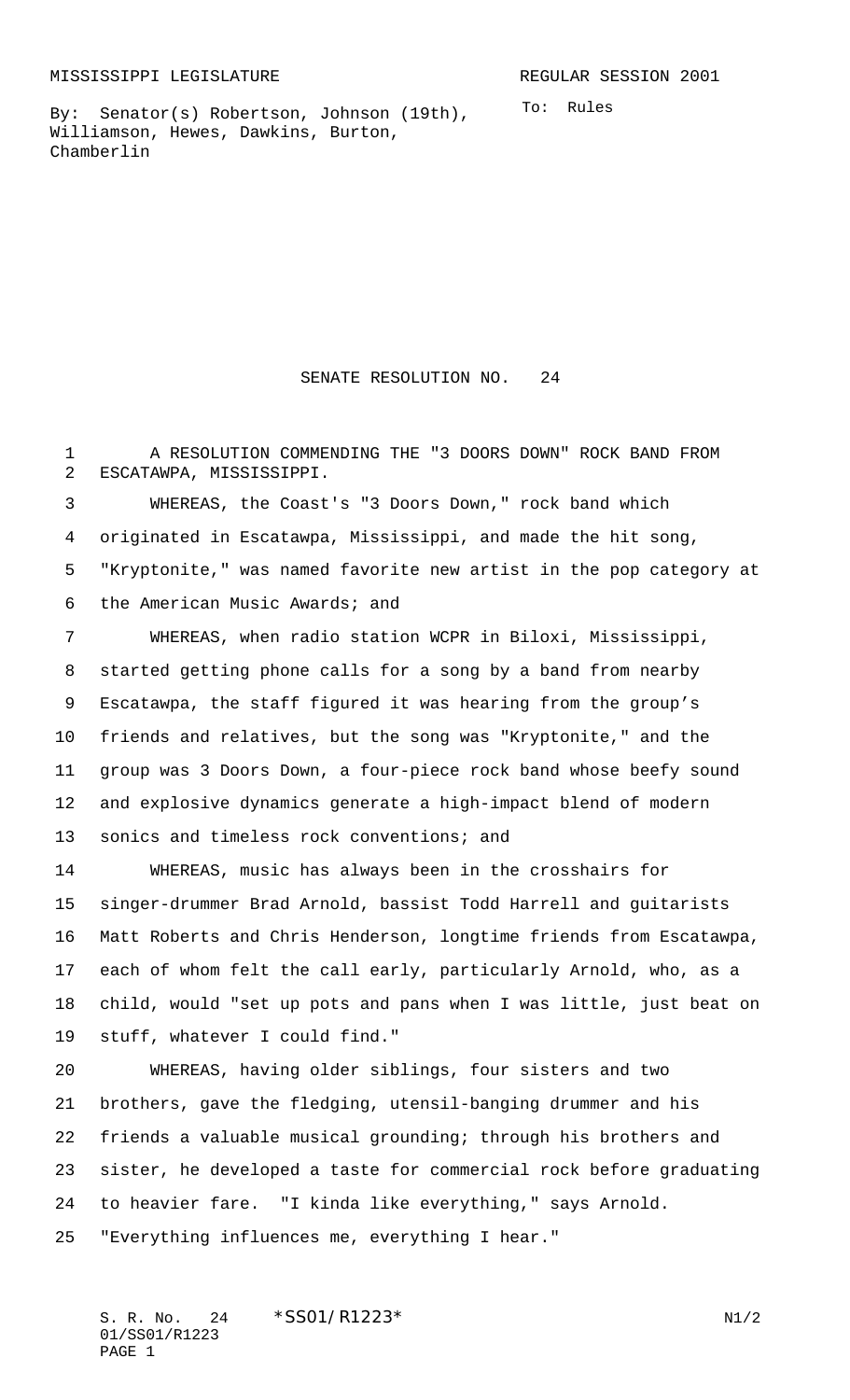By: Senator(s) Robertson, Johnson (19th), Williamson, Hewes, Dawkins, Burton, Chamberlin

SENATE RESOLUTION NO. 24

 A RESOLUTION COMMENDING THE "3 DOORS DOWN" ROCK BAND FROM ESCATAWPA, MISSISSIPPI.

 WHEREAS, the Coast's "3 Doors Down," rock band which originated in Escatawpa, Mississippi, and made the hit song, "Kryptonite," was named favorite new artist in the pop category at the American Music Awards; and

 WHEREAS, when radio station WCPR in Biloxi, Mississippi, started getting phone calls for a song by a band from nearby Escatawpa, the staff figured it was hearing from the group's friends and relatives, but the song was "Kryptonite," and the group was 3 Doors Down, a four-piece rock band whose beefy sound and explosive dynamics generate a high-impact blend of modern sonics and timeless rock conventions; and

 WHEREAS, music has always been in the crosshairs for singer-drummer Brad Arnold, bassist Todd Harrell and guitarists Matt Roberts and Chris Henderson, longtime friends from Escatawpa, each of whom felt the call early, particularly Arnold, who, as a child, would "set up pots and pans when I was little, just beat on stuff, whatever I could find."

 WHEREAS, having older siblings, four sisters and two brothers, gave the fledging, utensil-banging drummer and his friends a valuable musical grounding; through his brothers and sister, he developed a taste for commercial rock before graduating to heavier fare. "I kinda like everything," says Arnold. "Everything influences me, everything I hear."

S. R. No. 24 \* SS01/R1223\* N1/2 01/SS01/R1223 PAGE 1